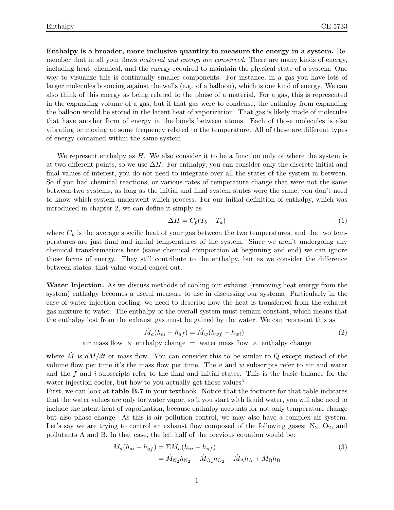Enthalpy is a broader, more inclusive quantity to measure the energy in a system. Remember that in all your flows *material and energy are conserved*. There are many kinds of energy, including heat, chemical, and the energy required to maintain the physical state of a system. One way to visualize this is continually smaller components. For instance, in a gas you have lots of larger molecules bouncing against the walls (e.g. of a balloon), which is one kind of energy. We can also think of this energy as being related to the phase of a material. For a gas, this is represented in the expanding volume of a gas, but if that gas were to condense, the enthalpy from expanding the balloon would be stored in the latent heat of vaporization. That gas is likely made of molecules that have another form of energy in the bonds between atoms. Each of those molecules is also vibrating or moving at some frequency related to the temperature. All of these are different types of energy contained within the same system.

We represent enthalpy as  $H$ . We also consider it to be a function only of where the system is at two different points, so we use  $\Delta H$ . For enthalpy, you can consider only the discrete initial and final values of interest, you do not need to integrate over all the states of the system in between. So if you had chemical reactions, or various rates of temperature change that were not the same between two systems, as long as the initial and final system states were the same, you don't need to know which system underwent which process. For our initial definition of enthalpy, which was introduced in chapter 2, we can define it simply as

$$
\Delta H = C_p (T_b - T_a) \tag{1}
$$

where  $C_p$  is the average specific heat of your gas between the two temperatures, and the two temperatures are just final and initial temperatures of the system. Since we aren't undergoing any chemical transformations here (same chemical composition at beginning and end) we can ignore those forms of energy. They still contribute to the enthalpy, but as we consider the difference between states, that value would cancel out.

Water Injection. As we discuss methods of cooling our exhaust (removing heat energy from the system) enthalpy becomes a useful measure to use in discussing our systems. Particularly in the case of water injection cooling, we need to describe how the heat is transferred from the exhaust gas mixture to water. The enthalpy of the overall system must remain constant, which means that the enthalpy lost from the exhaust gas must be gained by the water. We can represent this as

$$
\dot{M}_a(h_{ai} - h_{af}) = \dot{M}_w(h_{wf} - h_{wi})
$$
\n(2)

air mass flow  $\times$  enthalpy change = water mass flow  $\times$  enthalpy change

where  $\dot{M}$  is  $dM/dt$  or mass flow. You can consider this to be similar to Q except instead of the volume flow per time it's the mass flow per time. The  $a$  and  $w$  subscripts refer to air and water and the  $f$  and  $i$  subscripts refer to the final and initial states. This is the basic balance for the water injection cooler, but how to you actually get those values?

First, we can look at table B.7 in your textbook. Notice that the footnote for that table indicates that the water values are only for water vapor, so if you start with liquid water, you will also need to include the latent heat of vaporization, because enthalpy accounts for not only temperature change but also phase change. As this is air pollution control, we may also have a complex air system. Let's say we are trying to control an exhaust flow composed of the following gases:  $N_2$ ,  $O_2$ , and pollutants A and B. In that case, the left half of the previous equation would be:

$$
\dot{M}_a(h_{ai} - h_{af}) = \Sigma \dot{M}_n(h_{ni} - h_{nf})
$$
\n
$$
= \dot{M}_{N_2} h_{N_2} + \dot{M}_{O_2} h_{O_2} + \dot{M}_A h_A + \dot{M}_B h_B
$$
\n(3)